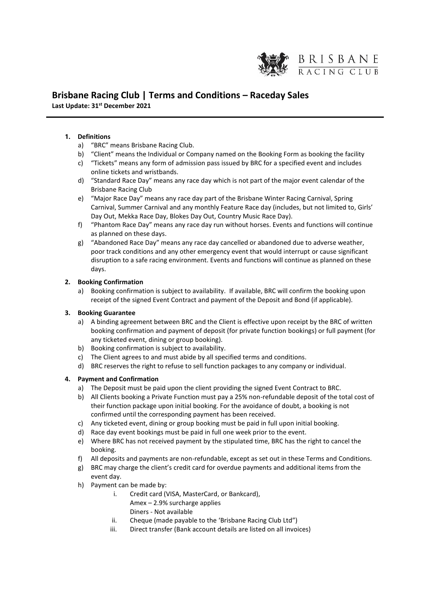

# **Brisbane Racing Club | Terms and Conditions – Raceday Sales Last Update: 31st December 2021**

# **1. Definitions**

- a) "BRC" means Brisbane Racing Club.
- b) "Client" means the Individual or Company named on the Booking Form as booking the facility
- c) "Tickets" means any form of admission pass issued by BRC for a specified event and includes online tickets and wristbands.
- d) "Standard Race Day" means any race day which is not part of the major event calendar of the Brisbane Racing Club
- e) "Major Race Day" means any race day part of the Brisbane Winter Racing Carnival, Spring Carnival, Summer Carnival and any monthly Feature Race day (includes, but not limited to, Girls' Day Out, Mekka Race Day, Blokes Day Out, Country Music Race Day).
- f) "Phantom Race Day" means any race day run without horses. Events and functions will continue as planned on these days.
- g) "Abandoned Race Day" means any race day cancelled or abandoned due to adverse weather, poor track conditions and any other emergency event that would interrupt or cause significant disruption to a safe racing environment. Events and functions will continue as planned on these days.

## **2. Booking Confirmation**

a) Booking confirmation is subject to availability. If available, BRC will confirm the booking upon receipt of the signed Event Contract and payment of the Deposit and Bond (if applicable).

## **3. Booking Guarantee**

- a) A binding agreement between BRC and the Client is effective upon receipt by the BRC of written booking confirmation and payment of deposit (for private function bookings) or full payment (for any ticketed event, dining or group booking).
- b) Booking confirmation is subject to availability.
- c) The Client agrees to and must abide by all specified terms and conditions.
- d) BRC reserves the right to refuse to sell function packages to any company or individual.

## **4. Payment and Confirmation**

- a) The Deposit must be paid upon the client providing the signed Event Contract to BRC.
- b) All Clients booking a Private Function must pay a 25% non-refundable deposit of the total cost of their function package upon initial booking. For the avoidance of doubt, a booking is not confirmed until the corresponding payment has been received.
- c) Any ticketed event, dining or group booking must be paid in full upon initial booking.
- d) Race day event bookings must be paid in full one week prior to the event.
- e) Where BRC has not received payment by the stipulated time, BRC has the right to cancel the booking.
- f) All deposits and payments are non-refundable, except as set out in these Terms and Conditions.
- g) BRC may charge the client's credit card for overdue payments and additional items from the event day.
- h) Payment can be made by:
	- i. Credit card (VISA, MasterCard, or Bankcard),
		- Amex 2.9% surcharge applies Diners - Not available
	- ii. Cheque (made payable to the 'Brisbane Racing Club Ltd")
	- iii. Direct transfer (Bank account details are listed on all invoices)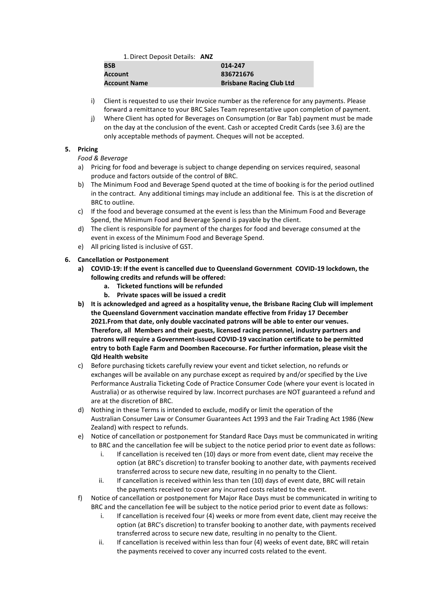1.Direct Deposit Details: **ANZ**

| <b>BSB</b>          | 014-247                         |
|---------------------|---------------------------------|
| Account             | 836721676                       |
| <b>Account Name</b> | <b>Brisbane Racing Club Ltd</b> |

- i) Client is requested to use their Invoice number as the reference for any payments. Please forward a remittance to your BRC Sales Team representative upon completion of payment.
- j) Where Client has opted for Beverages on Consumption (or Bar Tab) payment must be made on the day at the conclusion of the event. Cash or accepted Credit Cards (see 3.6) are the only acceptable methods of payment. Cheques will not be accepted.

# **5. Pricing**

*Food & Beverage*

- a) Pricing for food and beverage is subject to change depending on services required, seasonal produce and factors outside of the control of BRC.
- b) The Minimum Food and Beverage Spend quoted at the time of booking is for the period outlined in the contract. Any additional timings may include an additional fee. This is at the discretion of BRC to outline.
- c) If the food and beverage consumed at the event is less than the Minimum Food and Beverage Spend, the Minimum Food and Beverage Spend is payable by the client.
- d) The client is responsible for payment of the charges for food and beverage consumed at the event in excess of the Minimum Food and Beverage Spend.
- e) All pricing listed is inclusive of GST.

# **6. Cancellation or Postponement**

- **a) COVID-19: If the event is cancelled due to Queensland Government COVID-19 lockdown, the following credits and refunds will be offered:** 
	- **a. Ticketed functions will be refunded**
	- **b. Private spaces will be issued a credit**
- **b) It is acknowledged and agreed as a hospitality venue, the Brisbane Racing Club will implement the Queensland Government vaccination mandate effective from Friday 17 December 2021.From that date, only double vaccinated patrons will be able to enter our venues. Therefore, all Members and their guests, licensed racing personnel, industry partners and patrons will require a Government-issued COVID-19 vaccination certificate to be permitted entry to both Eagle Farm and Doomben Racecourse. For further information, please visit the Qld Health website**
- c) Before purchasing tickets carefully review your event and ticket selection, no refunds or exchanges will be available on any purchase except as required by and/or specified by the Live Performance Australia Ticketing Code of Practice Consumer Code (where your event is located in Australia) or as otherwise required by law. Incorrect purchases are NOT guaranteed a refund and are at the discretion of BRC.
- d) Nothing in these Terms is intended to exclude, modify or limit the operation of the Australian Consumer Law or Consumer Guarantees Act 1993 and the Fair Trading Act 1986 (New Zealand) with respect to refunds.
- e) Notice of cancellation or postponement for Standard Race Days must be communicated in writing to BRC and the cancellation fee will be subject to the notice period prior to event date as follows:
	- i. If cancellation is received ten (10) days or more from event date, client may receive the option (at BRC's discretion) to transfer booking to another date, with payments received transferred across to secure new date, resulting in no penalty to the Client.
	- ii. If cancellation is received within less than ten (10) days of event date, BRC will retain the payments received to cover any incurred costs related to the event.
- f) Notice of cancellation or postponement for Major Race Days must be communicated in writing to BRC and the cancellation fee will be subject to the notice period prior to event date as follows:
	- i. If cancellation is received four (4) weeks or more from event date, client may receive the option (at BRC's discretion) to transfer booking to another date, with payments received transferred across to secure new date, resulting in no penalty to the Client.
	- ii. If cancellation is received within less than four (4) weeks of event date, BRC will retain the payments received to cover any incurred costs related to the event.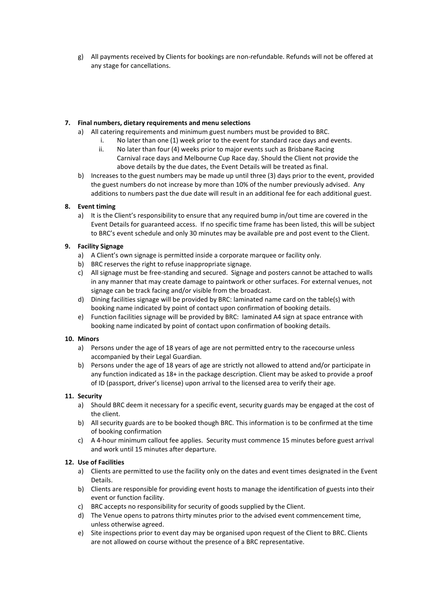g) All payments received by Clients for bookings are non-refundable. Refunds will not be offered at any stage for cancellations.

# **7. Final numbers, dietary requirements and menu selections**

- a) All catering requirements and minimum guest numbers must be provided to BRC.
	- i. No later than one (1) week prior to the event for standard race days and events.
		- ii. No later than four (4) weeks prior to major events such as Brisbane Racing Carnival race days and Melbourne Cup Race day. Should the Client not provide the above details by the due dates, the Event Details will be treated as final.
- b) Increases to the guest numbers may be made up until three (3) days prior to the event, provided the guest numbers do not increase by more than 10% of the number previously advised. Any additions to numbers past the due date will result in an additional fee for each additional guest.

# **8. Event timing**

a) It is the Client's responsibility to ensure that any required bump in/out time are covered in the Event Details for guaranteed access. If no specific time frame has been listed, this will be subject to BRC's event schedule and only 30 minutes may be available pre and post event to the Client.

## **9. Facility Signage**

- a) A Client's own signage is permitted inside a corporate marquee or facility only.
- b) BRC reserves the right to refuse inappropriate signage.
- c) All signage must be free-standing and secured. Signage and posters cannot be attached to walls in any manner that may create damage to paintwork or other surfaces. For external venues, not signage can be track facing and/or visible from the broadcast.
- d) Dining facilities signage will be provided by BRC: laminated name card on the table(s) with booking name indicated by point of contact upon confirmation of booking details.
- e) Function facilities signage will be provided by BRC: laminated A4 sign at space entrance with booking name indicated by point of contact upon confirmation of booking details.

## **10. Minors**

- a) Persons under the age of 18 years of age are not permitted entry to the racecourse unless accompanied by their Legal Guardian.
- b) Persons under the age of 18 years of age are strictly not allowed to attend and/or participate in any function indicated as 18+ in the package description. Client may be asked to provide a proof of ID (passport, driver's license) upon arrival to the licensed area to verify their age.

# **11. Security**

- a) Should BRC deem it necessary for a specific event, security guards may be engaged at the cost of the client.
- b) All security guards are to be booked though BRC. This information is to be confirmed at the time of booking confirmation
- c) A 4-hour minimum callout fee applies. Security must commence 15 minutes before guest arrival and work until 15 minutes after departure.

# **12. Use of Facilities**

- a) Clients are permitted to use the facility only on the dates and event times designated in the Event Details.
- b) Clients are responsible for providing event hosts to manage the identification of guests into their event or function facility.
- c) BRC accepts no responsibility for security of goods supplied by the Client.
- d) The Venue opens to patrons thirty minutes prior to the advised event commencement time, unless otherwise agreed.
- e) Site inspections prior to event day may be organised upon request of the Client to BRC. Clients are not allowed on course without the presence of a BRC representative.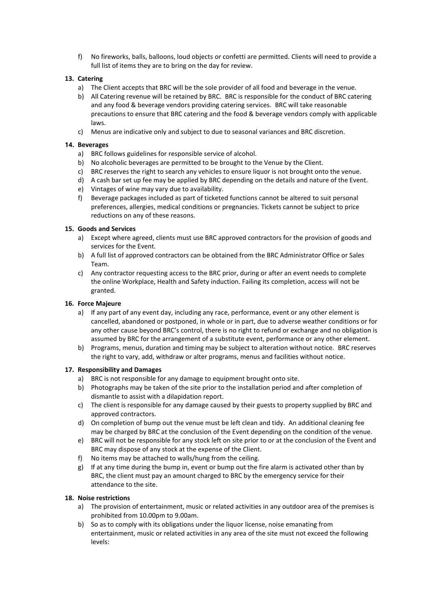f) No fireworks, balls, balloons, loud objects or confetti are permitted. Clients will need to provide a full list of items they are to bring on the day for review.

# **13. Catering**

- a) The Client accepts that BRC will be the sole provider of all food and beverage in the venue.
- b) All Catering revenue will be retained by BRC. BRC is responsible for the conduct of BRC catering and any food & beverage vendors providing catering services. BRC will take reasonable precautions to ensure that BRC catering and the food & beverage vendors comply with applicable laws.
- c) Menus are indicative only and subject to due to seasonal variances and BRC discretion.

## **14. Beverages**

- a) BRC follows guidelines for responsible service of alcohol.
- b) No alcoholic beverages are permitted to be brought to the Venue by the Client.
- c) BRC reserves the right to search any vehicles to ensure liquor is not brought onto the venue.
- d) A cash bar set up fee may be applied by BRC depending on the details and nature of the Event.
- e) Vintages of wine may vary due to availability.
- f) Beverage packages included as part of ticketed functions cannot be altered to suit personal preferences, allergies, medical conditions or pregnancies. Tickets cannot be subject to price reductions on any of these reasons.

## **15. Goods and Services**

- a) Except where agreed, clients must use BRC approved contractors for the provision of goods and services for the Event.
- b) A full list of approved contractors can be obtained from the BRC Administrator Office or Sales Team.
- c) Any contractor requesting access to the BRC prior, during or after an event needs to complete the online Workplace, Health and Safety induction. Failing its completion, access will not be granted.

## **16. Force Majeure**

- a) If any part of any event day, including any race, performance, event or any other element is cancelled, abandoned or postponed, in whole or in part, due to adverse weather conditions or for any other cause beyond BRC's control, there is no right to refund or exchange and no obligation is assumed by BRC for the arrangement of a substitute event, performance or any other element.
- b) Programs, menus, duration and timing may be subject to alteration without notice. BRC reserves the right to vary, add, withdraw or alter programs, menus and facilities without notice.

## **17. Responsibility and Damages**

- a) BRC is not responsible for any damage to equipment brought onto site.
- b) Photographs may be taken of the site prior to the installation period and after completion of dismantle to assist with a dilapidation report.
- c) The client is responsible for any damage caused by their guests to property supplied by BRC and approved contractors.
- d) On completion of bump out the venue must be left clean and tidy. An additional cleaning fee may be charged by BRC at the conclusion of the Event depending on the condition of the venue.
- e) BRC will not be responsible for any stock left on site prior to or at the conclusion of the Event and BRC may dispose of any stock at the expense of the Client.
- f) No items may be attached to walls/hung from the ceiling.
- g) If at any time during the bump in, event or bump out the fire alarm is activated other than by BRC, the client must pay an amount charged to BRC by the emergency service for their attendance to the site.

# **18. Noise restrictions**

- a) The provision of entertainment, music or related activities in any outdoor area of the premises is prohibited from 10.00pm to 9.00am.
- b) So as to comply with its obligations under the liquor license, noise emanating from entertainment, music or related activities in any area of the site must not exceed the following levels: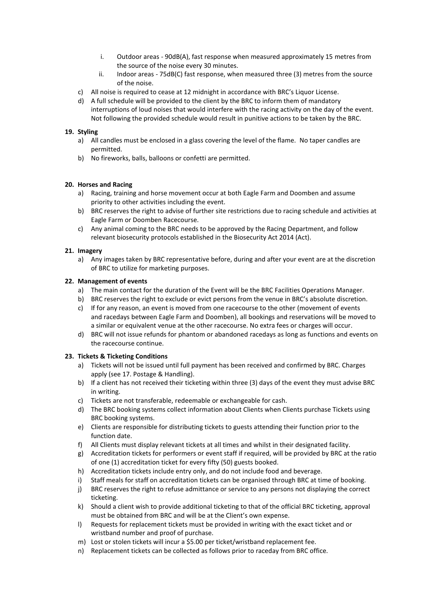- i. Outdoor areas 90dB(A), fast response when measured approximately 15 metres from the source of the noise every 30 minutes.
- ii. Indoor areas 75dB(C) fast response, when measured three (3) metres from the source of the noise.
- c) All noise is required to cease at 12 midnight in accordance with BRC's Liquor License.
- d) A full schedule will be provided to the client by the BRC to inform them of mandatory interruptions of loud noises that would interfere with the racing activity on the day of the event. Not following the provided schedule would result in punitive actions to be taken by the BRC.

## **19. Styling**

- a) All candles must be enclosed in a glass covering the level of the flame. No taper candles are permitted.
- b) No fireworks, balls, balloons or confetti are permitted.

## **20. Horses and Racing**

- a) Racing, training and horse movement occur at both Eagle Farm and Doomben and assume priority to other activities including the event.
- b) BRC reserves the right to advise of further site restrictions due to racing schedule and activities at Eagle Farm or Doomben Racecourse.
- c) Any animal coming to the BRC needs to be approved by the Racing Department, and follow relevant biosecurity protocols established in the Biosecurity Act 2014 (Act).

## **21. Imagery**

a) Any images taken by BRC representative before, during and after your event are at the discretion of BRC to utilize for marketing purposes.

## **22. Management of events**

- a) The main contact for the duration of the Event will be the BRC Facilities Operations Manager.
- b) BRC reserves the right to exclude or evict persons from the venue in BRC's absolute discretion.
- c) If for any reason, an event is moved from one racecourse to the other (movement of events and racedays between Eagle Farm and Doomben), all bookings and reservations will be moved to a similar or equivalent venue at the other racecourse. No extra fees or charges will occur.
- d) BRC will not issue refunds for phantom or abandoned racedays as long as functions and events on the racecourse continue.

## **23. Tickets & Ticketing Conditions**

- a) Tickets will not be issued until full payment has been received and confirmed by BRC. Charges apply (see 17. Postage & Handling).
- b) If a client has not received their ticketing within three (3) days of the event they must advise BRC in writing.
- c) Tickets are not transferable, redeemable or exchangeable for cash.
- d) The BRC booking systems collect information about Clients when Clients purchase Tickets using BRC booking systems.
- e) Clients are responsible for distributing tickets to guests attending their function prior to the function date.
- f) All Clients must display relevant tickets at all times and whilst in their designated facility.
- g) Accreditation tickets for performers or event staff if required, will be provided by BRC at the ratio of one (1) accreditation ticket for every fifty (50) guests booked.
- h) Accreditation tickets include entry only, and do not include food and beverage.
- i) Staff meals for staff on accreditation tickets can be organised through BRC at time of booking.
- j) BRC reserves the right to refuse admittance or service to any persons not displaying the correct ticketing.
- k) Should a client wish to provide additional ticketing to that of the official BRC ticketing, approval must be obtained from BRC and will be at the Client's own expense.
- l) Requests for replacement tickets must be provided in writing with the exact ticket and or wristband number and proof of purchase.
- m) Lost or stolen tickets will incur a \$5.00 per ticket/wristband replacement fee.
- n) Replacement tickets can be collected as follows prior to raceday from BRC office.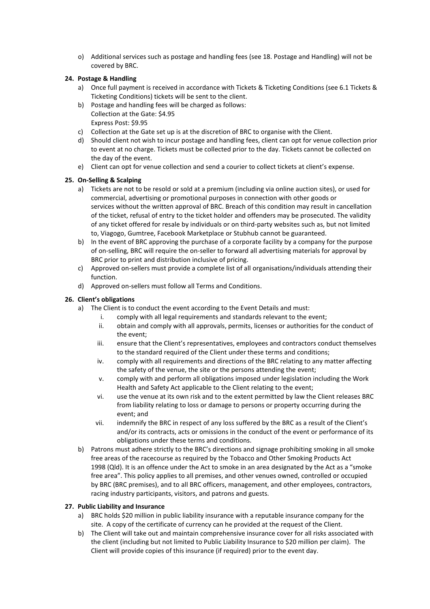o) Additional services such as postage and handling fees (see 18. Postage and Handling) will not be covered by BRC.

# **24. Postage & Handling**

- a) Once full payment is received in accordance with Tickets & Ticketing Conditions (see 6.1 Tickets & Ticketing Conditions) tickets will be sent to the client.
- b) Postage and handling fees will be charged as follows: Collection at the Gate: \$4.95 Express Post: \$9.95
- c) Collection at the Gate set up is at the discretion of BRC to organise with the Client.
- d) Should client not wish to incur postage and handling fees, client can opt for venue collection prior to event at no charge. Tickets must be collected prior to the day. Tickets cannot be collected on the day of the event.
- e) Client can opt for venue collection and send a courier to collect tickets at client's expense.

## **25. On-Selling & Scalping**

- a) Tickets are not to be resold or sold at a premium (including via online auction sites), or used for commercial, advertising or promotional purposes in connection with other goods or services without the written approval of BRC. Breach of this condition may result in cancellation of the ticket, refusal of entry to the ticket holder and offenders may be prosecuted. The validity of any ticket offered for resale by individuals or on third-party websites such as, but not limited to, Viagogo, Gumtree, Facebook Marketplace or Stubhub cannot be guaranteed.
- b) In the event of BRC approving the purchase of a corporate facility by a company for the purpose of on-selling, BRC will require the on-seller to forward all advertising materials for approval by BRC prior to print and distribution inclusive of pricing.
- c) Approved on-sellers must provide a complete list of all organisations/individuals attending their function.
- d) Approved on-sellers must follow all Terms and Conditions.

## **26. Client's obligations**

- a) The Client is to conduct the event according to the Event Details and must:
	- i. comply with all legal requirements and standards relevant to the event;
	- ii. obtain and comply with all approvals, permits, licenses or authorities for the conduct of the event;
	- iii. ensure that the Client's representatives, employees and contractors conduct themselves to the standard required of the Client under these terms and conditions;
	- iv. comply with all requirements and directions of the BRC relating to any matter affecting the safety of the venue, the site or the persons attending the event;
	- v. comply with and perform all obligations imposed under legislation including the Work Health and Safety Act applicable to the Client relating to the event;
	- vi. use the venue at its own risk and to the extent permitted by law the Client releases BRC from liability relating to loss or damage to persons or property occurring during the event; and
	- vii. indemnify the BRC in respect of any loss suffered by the BRC as a result of the Client's and/or its contracts, acts or omissions in the conduct of the event or performance of its obligations under these terms and conditions.
- b) Patrons must adhere strictly to the BRC's directions and signage prohibiting smoking in all smoke free areas of the racecourse as required by the Tobacco and Other Smoking Products Act 1998 (Qld). It is an offence under the Act to smoke in an area designated by the Act as a "smoke free area". This policy applies to all premises, and other venues owned, controlled or occupied by BRC (BRC premises), and to all BRC officers, management, and other employees, contractors, racing industry participants, visitors, and patrons and guests.

## **27. Public Liability and Insurance**

- a) BRC holds \$20 million in public liability insurance with a reputable insurance company for the site. A copy of the certificate of currency can he provided at the request of the Client.
- b) The Client will take out and maintain comprehensive insurance cover for all risks associated with the client (including but not limited to Public Liability Insurance to \$20 million per claim). The Client will provide copies of this insurance (if required) prior to the event day.